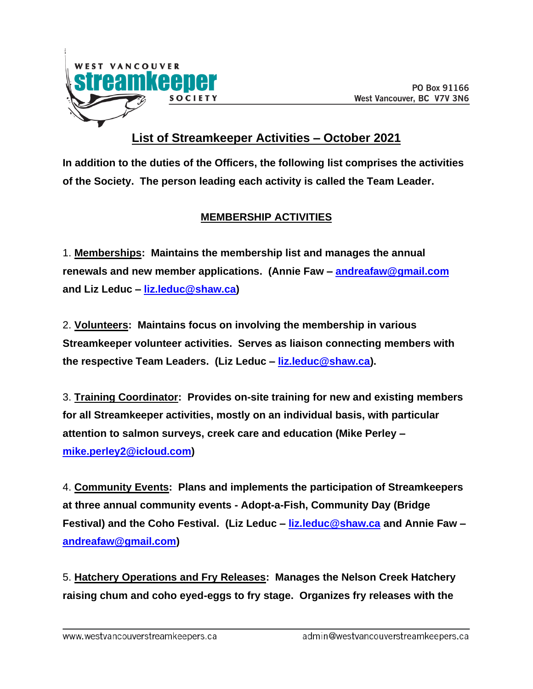

## **List of Streamkeeper Activities – October 2021**

**In addition to the duties of the Officers, the following list comprises the activities of the Society. The person leading each activity is called the Team Leader.**

## **MEMBERSHIP ACTIVITIES**

1. **Memberships: Maintains the membership list and manages the annual renewals and new member applications. (Annie Faw – [andreafaw@gmail.com](mailto:andreafaw@gmail.com) and Liz Leduc – [liz.leduc@shaw.ca\)](mailto:liz.leduc@shaw.ca)** 

2. **Volunteers: Maintains focus on involving the membership in various Streamkeeper volunteer activities. Serves as liaison connecting members with the respective Team Leaders. (Liz Leduc – [liz.leduc@shaw.ca\)](mailto:liz.leduc@shaw.ca).**

3. **Training Coordinator: Provides on-site training for new and existing members for all Streamkeeper activities, mostly on an individual basis, with particular attention to salmon surveys, creek care and education (Mike Perley – [mike.perley2@icloud.com\)](mailto:mike.perley2@icloud.com)**

4. **Community Events: Plans and implements the participation of Streamkeepers at three annual community events - Adopt-a-Fish, Community Day (Bridge Festival) and the Coho Festival. (Liz Leduc – [liz.leduc@shaw.ca](mailto:liz.leduc@shaw.ca) and Annie Faw – [andreafaw@gmail.com\)](mailto:andreafaw@gmail.com)**

5. **Hatchery Operations and Fry Releases: Manages the Nelson Creek Hatchery raising chum and coho eyed-eggs to fry stage. Organizes fry releases with the**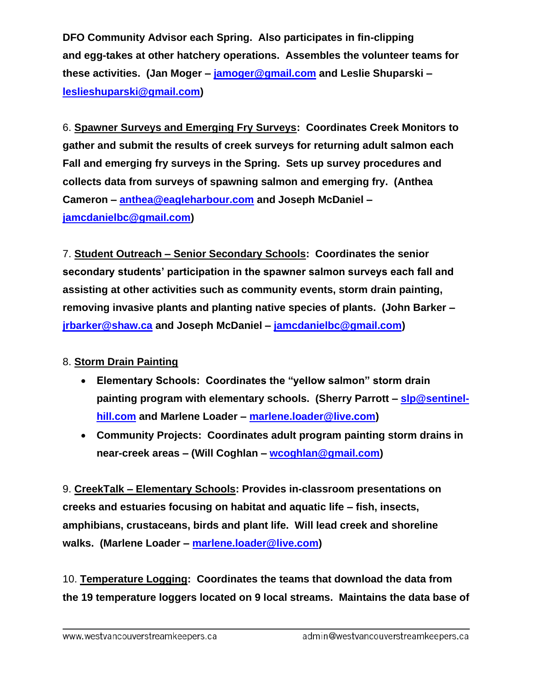**DFO Community Advisor each Spring. Also participates in fin-clipping and egg-takes at other hatchery operations. Assembles the volunteer teams for these activities. (Jan Moger – [jamoger@gmail.com](mailto:jamoger@gmail.com) and Leslie Shuparski – [leslieshuparski@gmail.com\)](mailto:leslieshuparski@gmail.com)**

6. **Spawner Surveys and Emerging Fry Surveys: Coordinates Creek Monitors to gather and submit the results of creek surveys for returning adult salmon each Fall and emerging fry surveys in the Spring. Sets up survey procedures and collects data from surveys of spawning salmon and emerging fry. (Anthea Cameron – [anthea@eagleharbour.com](mailto:anthea@eagleharbour.com) and Joseph McDaniel – [jamcdanielbc@gmail.com\)](mailto:jamcdanielbc@gmail.com)**

7. **Student Outreach – Senior Secondary Schools: Coordinates the senior secondary students' participation in the spawner salmon surveys each fall and assisting at other activities such as community events, storm drain painting, removing invasive plants and planting native species of plants. (John Barker – [jrbarker@shaw.ca](mailto:jrbarker@shaw.ca) and Joseph McDaniel – [jamcdanielbc@gmail.com\)](mailto:jamcdanielbc@gmail.com)**

## 8. **Storm Drain Painting**

- **Elementary Schools: Coordinates the "yellow salmon" storm drain painting program with elementary schools. (Sherry Parrott – [slp@sentinel](mailto:slp@sentinel-hill.com)[hill.com](mailto:slp@sentinel-hill.com) and Marlene Loader – [marlene.loader@live.com\)](mailto:marlene.loader@live.com)**
- **Community Projects: Coordinates adult program painting storm drains in near-creek areas – (Will Coghlan – [wcoghlan@gmail.com\)](mailto:wcoghlan@gmail.com)**

9. **CreekTalk – Elementary Schools: Provides in-classroom presentations on creeks and estuaries focusing on habitat and aquatic life – fish, insects, amphibians, crustaceans, birds and plant life. Will lead creek and shoreline walks. (Marlene Loader – [marlene.loader@live.com\)](mailto:marlene.loader@live.com)**

10. **Temperature Logging: Coordinates the teams that download the data from the 19 temperature loggers located on 9 local streams. Maintains the data base of**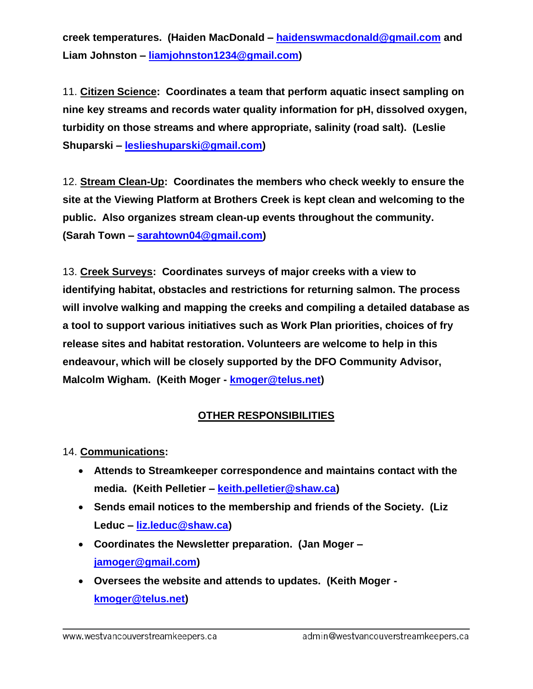**creek temperatures. (Haiden MacDonald – [haidenswmacdonald@gmail.com](mailto:haidenswmacdonald@gmail.com) and Liam Johnston – [liamjohnston1234@gmail.com\)](mailto:liamjohnston1234@gmail.com)**

11. **Citizen Science: Coordinates a team that perform aquatic insect sampling on nine key streams and records water quality information for pH, dissolved oxygen, turbidity on those streams and where appropriate, salinity (road salt). (Leslie Shuparski – [leslieshuparski@gmail.com\)](mailto:leslieshuparski@gmail.com)**

12. **Stream Clean-Up: Coordinates the members who check weekly to ensure the site at the Viewing Platform at Brothers Creek is kept clean and welcoming to the public. Also organizes stream clean-up events throughout the community. (Sarah Town – [sarahtown04@gmail.com\)](mailto:sarahtown04@gmail.com)**

13. **Creek Surveys: Coordinates surveys of major creeks with a view to identifying habitat, obstacles and restrictions for returning salmon. The process will involve walking and mapping the creeks and compiling a detailed database as a tool to support various initiatives such as Work Plan priorities, choices of fry release sites and habitat restoration. Volunteers are welcome to help in this endeavour, which will be closely supported by the DFO Community Advisor, Malcolm Wigham. (Keith Moger - [kmoger@telus.net\)](mailto:kmoger@telus.net)**

## **OTHER RESPONSIBILITIES**

14. **Communications:** 

- **Attends to Streamkeeper correspondence and maintains contact with the media. (Keith Pelletier – [keith.pelletier@shaw.ca\)](mailto:keith.pelletier@shaw.ca)**
- **Sends email notices to the membership and friends of the Society. (Liz Leduc – [liz.leduc@shaw.ca\)](mailto:liz.leduc@shaw.ca)**
- **Coordinates the Newsletter preparation. (Jan Moger – [jamoger@gmail.com\)](mailto:jamoger@gmail.com)**
- **Oversees the website and attends to updates. (Keith Moger [kmoger@telus.net\)](mailto:kmoger@telus.net)**